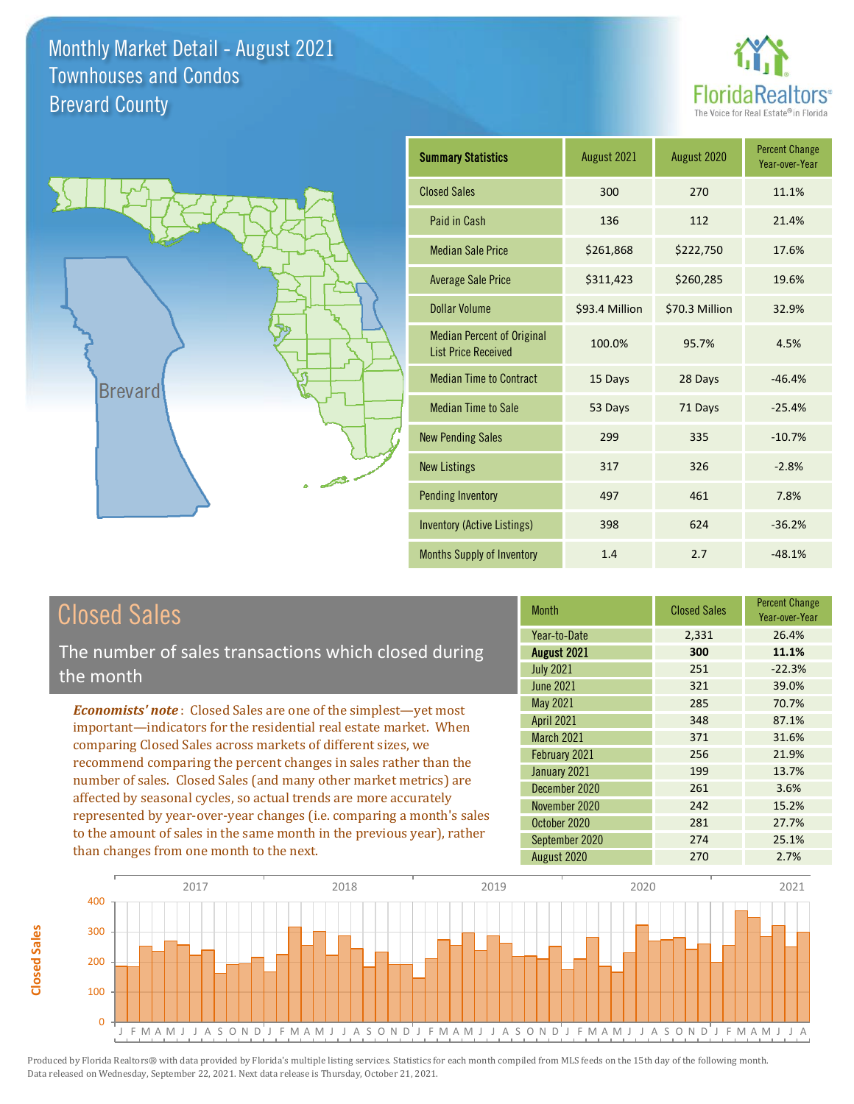



| <b>Summary Statistics</b>                                       | August 2021    | August 2020    | <b>Percent Change</b><br>Year-over-Year |
|-----------------------------------------------------------------|----------------|----------------|-----------------------------------------|
| <b>Closed Sales</b>                                             | 300            | 270            | 11.1%                                   |
| Paid in Cash                                                    | 136            | 112            | 21.4%                                   |
| <b>Median Sale Price</b>                                        | \$261,868      | \$222,750      | 17.6%                                   |
| <b>Average Sale Price</b>                                       | \$311,423      | \$260,285      | 19.6%                                   |
| Dollar Volume                                                   | \$93.4 Million | \$70.3 Million | 32.9%                                   |
| <b>Median Percent of Original</b><br><b>List Price Received</b> | 100.0%         | 95.7%          | 4.5%                                    |
| <b>Median Time to Contract</b>                                  | 15 Days        | 28 Days        | $-46.4%$                                |
| <b>Median Time to Sale</b>                                      | 53 Days        | 71 Days        | $-25.4%$                                |
| <b>New Pending Sales</b>                                        | 299            | 335            | $-10.7%$                                |
| <b>New Listings</b>                                             | 317            | 326            | $-2.8%$                                 |
| <b>Pending Inventory</b>                                        | 497            | 461            | 7.8%                                    |
| <b>Inventory (Active Listings)</b>                              | 398            | 624            | $-36.2%$                                |
| Months Supply of Inventory                                      | 1.4            | 2.7            | $-48.1%$                                |

### Closed Sales

**Closed Sales**

**Closed Sales** 

The number of sales transactions which closed during the month

*Economists' note* : Closed Sales are one of the simplest—yet most important—indicators for the residential real estate market. When comparing Closed Sales across markets of different sizes, we recommend comparing the percent changes in sales rather than the number of sales. Closed Sales (and many other market metrics) are affected by seasonal cycles, so actual trends are more accurately represented by year-over-year changes (i.e. comparing a month's sales to the amount of sales in the same month in the previous year), rather than changes from one month to the next.

| <b>Month</b>      | <b>Closed Sales</b> | <b>Percent Change</b><br>Year-over-Year |
|-------------------|---------------------|-----------------------------------------|
| Year-to-Date      | 2,331               | 26.4%                                   |
| August 2021       | 300                 | 11.1%                                   |
| <b>July 2021</b>  | 251                 | $-22.3%$                                |
| <b>June 2021</b>  | 321                 | 39.0%                                   |
| May 2021          | 285                 | 70.7%                                   |
| <b>April 2021</b> | 348                 | 87.1%                                   |
| March 2021        | 371                 | 31.6%                                   |
| February 2021     | 256                 | 21.9%                                   |
| January 2021      | 199                 | 13.7%                                   |
| December 2020     | 261                 | 3.6%                                    |
| November 2020     | 242                 | 15.2%                                   |
| October 2020      | 281                 | 27.7%                                   |
| September 2020    | 274                 | 25.1%                                   |
| August 2020       | 270                 | 2.7%                                    |

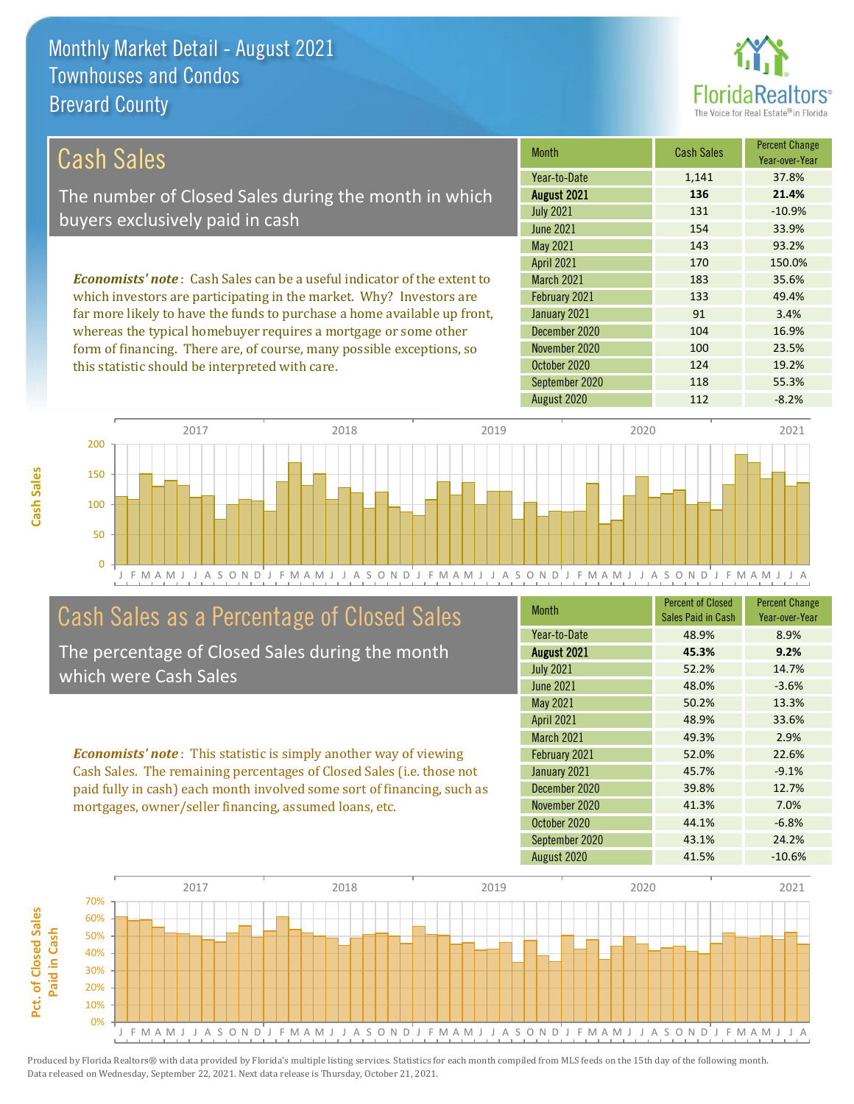this statistic should be interpreted with care.



124 19.2%

| Cash Sales                                                                     | <b>Month</b>      | <b>Cash Sales</b> | <b>Percent Change</b><br>Year-over-Year |
|--------------------------------------------------------------------------------|-------------------|-------------------|-----------------------------------------|
|                                                                                | Year-to-Date      | 1,141             | 37.8%                                   |
| The number of Closed Sales during the month in which                           | August 2021       | 136               | 21.4%                                   |
| buyers exclusively paid in cash                                                | <b>July 2021</b>  | 131               | $-10.9%$                                |
|                                                                                | June 2021         | 154               | 33.9%                                   |
|                                                                                | May 2021          | 143               | 93.2%                                   |
|                                                                                | <b>April 2021</b> | 170               | 150.0%                                  |
| <b>Economists' note:</b> Cash Sales can be a useful indicator of the extent to | <b>March 2021</b> | 183               | 35.6%                                   |
| which investors are participating in the market. Why? Investors are            | February 2021     | 133               | 49.4%                                   |
| far more likely to have the funds to purchase a home available up front,       | January 2021      | 91                | 3.4%                                    |
| whereas the typical homebuyer requires a mortgage or some other                | December 2020     | 104               | 16.9%                                   |
| form of financing. There are, of course, many possible exceptions, so          | November 2020     | 100               | 23.5%                                   |

October 2020



### Cash Sales as a Percentage of Closed Sales

The percentage of Closed Sales during the month which were Cash Sales

*Economists' note* : This statistic is simply another way of viewing Cash Sales. The remaining percentages of Closed Sales (i.e. those not paid fully in cash) each month involved some sort of financing, such as mortgages, owner/seller financing, assumed loans, etc.

| <b>Month</b>      | <b>Percent of Closed</b><br>Sales Paid in Cash | <b>Percent Change</b><br>Year-over-Year |
|-------------------|------------------------------------------------|-----------------------------------------|
| Year-to-Date      | 48.9%                                          | 8.9%                                    |
| August 2021       | 45.3%                                          | 9.2%                                    |
| <b>July 2021</b>  | 52.2%                                          | 14.7%                                   |
| <b>June 2021</b>  | 48.0%                                          | $-3.6%$                                 |
| May 2021          | 50.2%                                          | 13.3%                                   |
| <b>April 2021</b> | 48.9%                                          | 33.6%                                   |
| <b>March 2021</b> | 49.3%                                          | 2.9%                                    |
| February 2021     | 52.0%                                          | 22.6%                                   |
| January 2021      | 45.7%                                          | $-9.1%$                                 |
| December 2020     | 39.8%                                          | 12.7%                                   |
| November 2020     | 41.3%                                          | 7.0%                                    |
| October 2020      | 44.1%                                          | $-6.8%$                                 |
| September 2020    | 43.1%                                          | 24.2%                                   |
| August 2020       | 41.5%                                          | $-10.6%$                                |

September 2020 118 55.3%



Pct. of Closed Sales **Pct. of Closed Sales**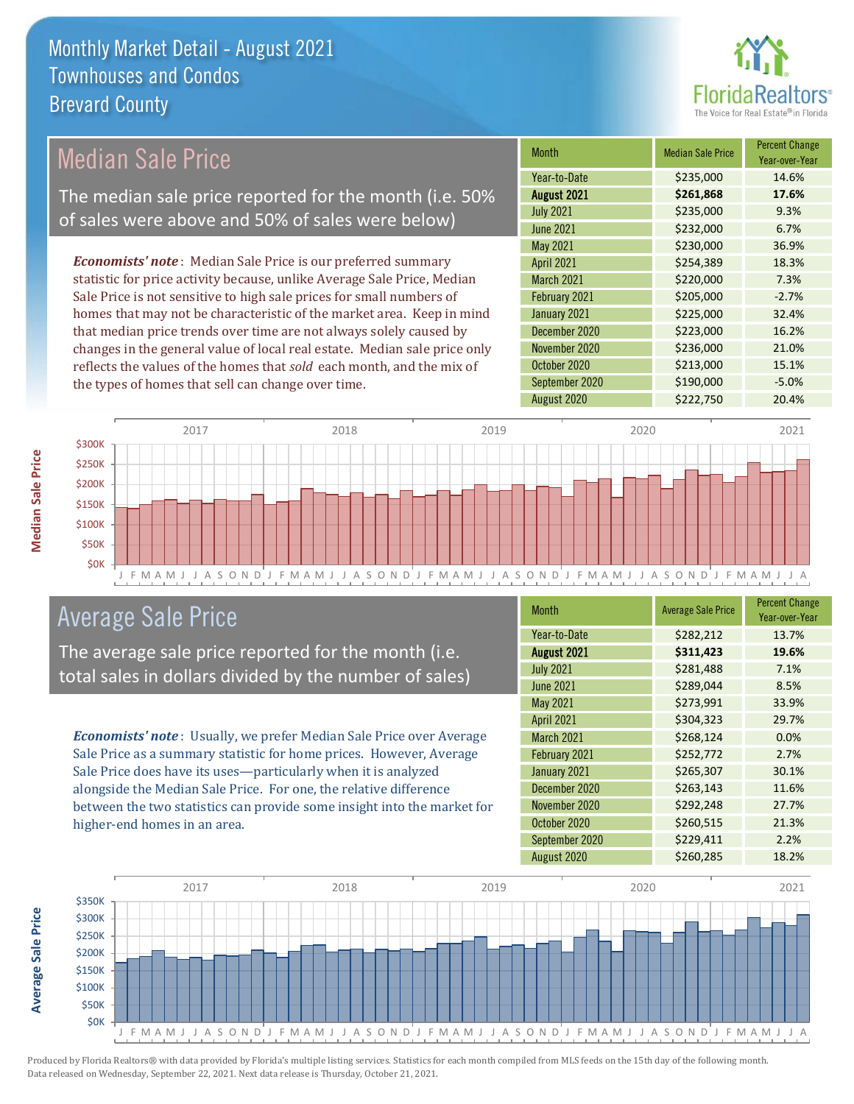

### Median Sale Price

The median sale price reported for the month (i.e. 50% of sales were above and 50% of sales were below)

*Economists' note* : Median Sale Price is our preferred summary statistic for price activity because, unlike Average Sale Price, Median Sale Price is not sensitive to high sale prices for small numbers of homes that may not be characteristic of the market area. Keep in mind that median price trends over time are not always solely caused by changes in the general value of local real estate. Median sale price only reflects the values of the homes that *sold* each month, and the mix of the types of homes that sell can change over time.

| <b>Month</b>      | <b>Median Sale Price</b> | <b>Percent Change</b><br>Year-over-Year |
|-------------------|--------------------------|-----------------------------------------|
| Year-to-Date      | \$235,000                | 14.6%                                   |
| August 2021       | \$261,868                | 17.6%                                   |
| <b>July 2021</b>  | \$235,000                | 9.3%                                    |
| <b>June 2021</b>  | \$232,000                | 6.7%                                    |
| May 2021          | \$230,000                | 36.9%                                   |
| <b>April 2021</b> | \$254,389                | 18.3%                                   |
| March 2021        | \$220,000                | 7.3%                                    |
| February 2021     | \$205,000                | $-2.7%$                                 |
| January 2021      | \$225,000                | 32.4%                                   |
| December 2020     | \$223,000                | 16.2%                                   |
| November 2020     | \$236,000                | 21.0%                                   |
| October 2020      | \$213,000                | 15.1%                                   |
| September 2020    | \$190,000                | $-5.0%$                                 |
| August 2020       | \$222,750                | 20.4%                                   |



### Average Sale Price

The average sale price reported for the month (i.e. total sales in dollars divided by the number of sales)

*Economists' note* : Usually, we prefer Median Sale Price over Average Sale Price as a summary statistic for home prices. However, Average Sale Price does have its uses—particularly when it is analyzed alongside the Median Sale Price. For one, the relative difference between the two statistics can provide some insight into the market for higher-end homes in an area.

| <b>Month</b>       | <b>Average Sale Price</b> | <b>Percent Change</b><br>Year-over-Year |
|--------------------|---------------------------|-----------------------------------------|
| Year-to-Date       | \$282,212                 | 13.7%                                   |
| <b>August 2021</b> | \$311,423                 | 19.6%                                   |
| <b>July 2021</b>   | \$281,488                 | 7.1%                                    |
| <b>June 2021</b>   | \$289,044                 | 8.5%                                    |
| May 2021           | \$273,991                 | 33.9%                                   |
| <b>April 2021</b>  | \$304,323                 | 29.7%                                   |
| <b>March 2021</b>  | \$268,124                 | 0.0%                                    |
| February 2021      | \$252,772                 | 2.7%                                    |
| January 2021       | \$265,307                 | 30.1%                                   |
| December 2020      | \$263,143                 | 11.6%                                   |
| November 2020      | \$292,248                 | 27.7%                                   |
| October 2020       | \$260,515                 | 21.3%                                   |
| September 2020     | \$229,411                 | 2.2%                                    |
| August 2020        | \$260,285                 | 18.2%                                   |



Produced by Florida Realtors® with data provided by Florida's multiple listing services. Statistics for each month compiled from MLS feeds on the 15th day of the following month. Data released on Wednesday, September 22, 2021. Next data release is Thursday, October 21, 2021.

**Average Sale Price**

**Average Sale Price**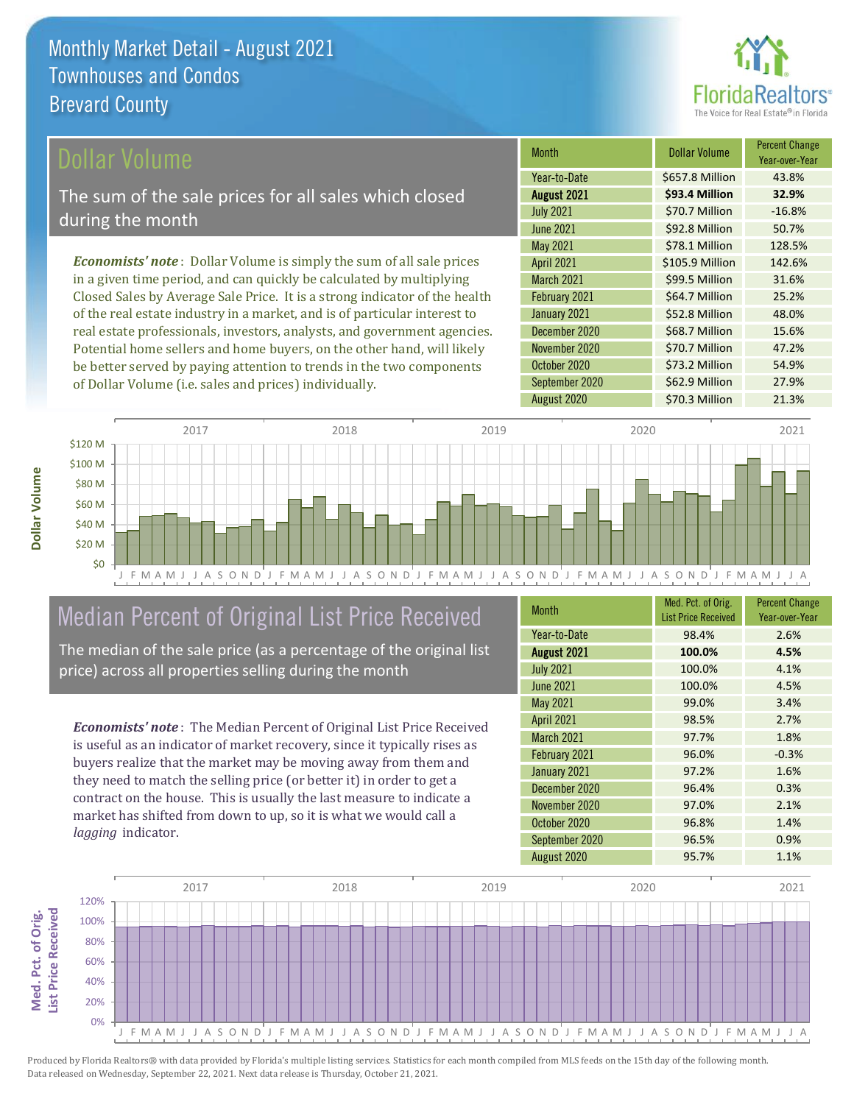

Year-over-Year

48.0%

\$70.7 Million 47.2%

\$73.2 Million 54.9%

Month **Dollar Volume** Percent Change

August 2021 **\$93.4 Million 32.9%** Year-to-Date \$657.8 Million 43.8%

July 2021 **\$70.7 Million** -16.8% June 2021 **\$92.8 Million** 50.7%

May 2021 **578.1 Million** 128.5% April 2021 **S105.9 Million** 142.6% March 2021 **\$99.5 Million** 31.6% February 2021 **\$64.7 Million** 25.2%

December 2020 \$68.7 Million 15.6%

September 2020 \$62.9 Million 27.9%

January 2021 **\$52.8 Million** 

October 2020

November 2020

#### ollar Volume

The sum of the sale prices for all sales which closed during the month

*Economists' note* : Dollar Volume is simply the sum of all sale prices in a given time period, and can quickly be calculated by multiplying Closed Sales by Average Sale Price. It is a strong indicator of the health of the real estate industry in a market, and is of particular interest to real estate professionals, investors, analysts, and government agencies. Potential home sellers and home buyers, on the other hand, will likely be better served by paying attention to trends in the two components of Dollar Volume (i.e. sales and prices) individually.



### Median Percent of Original List Price Received

The median of the sale price (as a percentage of the original list price) across all properties selling during the month

*Economists' note* : The Median Percent of Original List Price Received is useful as an indicator of market recovery, since it typically rises as buyers realize that the market may be moving away from them and they need to match the selling price (or better it) in order to get a contract on the house. This is usually the last measure to indicate a market has shifted from down to up, so it is what we would call a *lagging* indicator.

| <b>Month</b>      | Med. Pct. of Orig.<br><b>List Price Received</b> | <b>Percent Change</b><br>Year-over-Year |
|-------------------|--------------------------------------------------|-----------------------------------------|
| Year-to-Date      | 98.4%                                            | 2.6%                                    |
| August 2021       | 100.0%                                           | 4.5%                                    |
| <b>July 2021</b>  | 100.0%                                           | 4.1%                                    |
| <b>June 2021</b>  | 100.0%                                           | 4.5%                                    |
| May 2021          | 99.0%                                            | 3.4%                                    |
| <b>April 2021</b> | 98.5%                                            | 2.7%                                    |
| March 2021        | 97.7%                                            | 1.8%                                    |
| February 2021     | 96.0%                                            | $-0.3%$                                 |
| January 2021      | 97.2%                                            | 1.6%                                    |
| December 2020     | 96.4%                                            | 0.3%                                    |
| November 2020     | 97.0%                                            | 2.1%                                    |
| October 2020      | 96.8%                                            | 1.4%                                    |
| September 2020    | 96.5%                                            | 0.9%                                    |
| August 2020       | 95.7%                                            | 1.1%                                    |

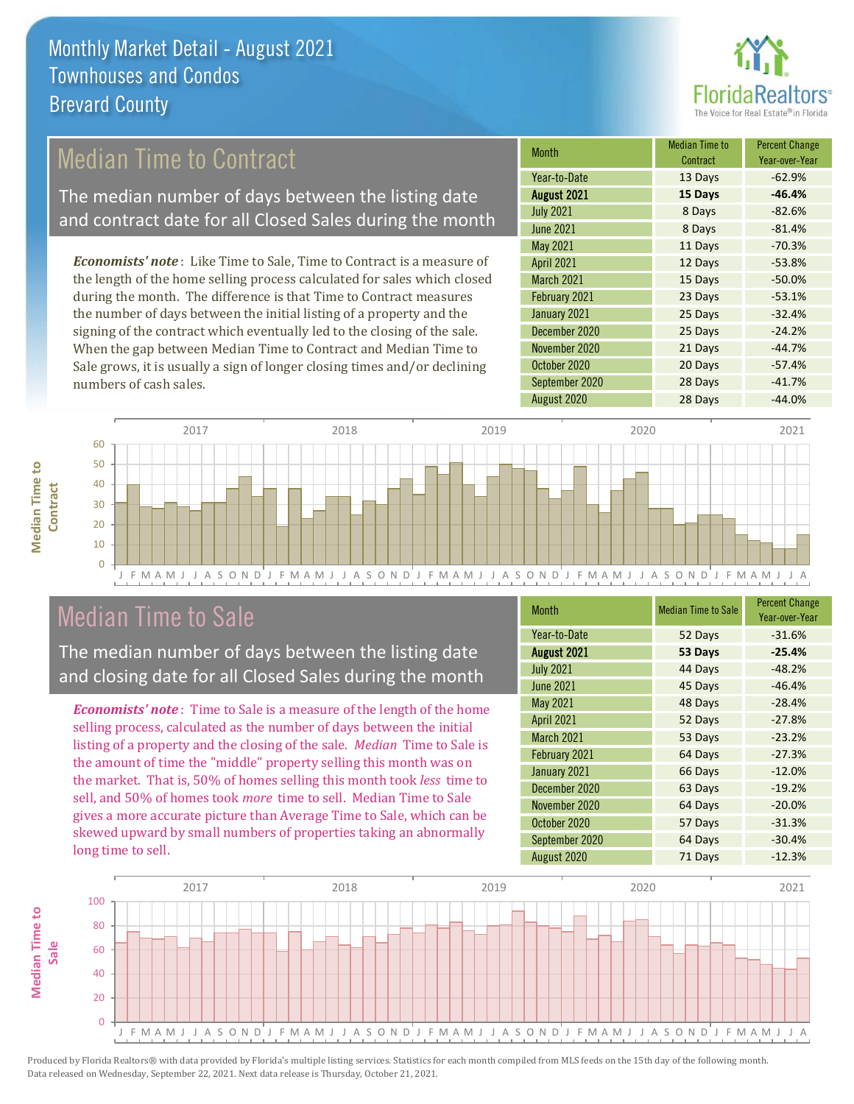

### Median Time to Contract

The median number of days between the listing date and contract date for all Closed Sales during the month

*Economists' note* : Like Time to Sale, Time to Contract is a measure of the length of the home selling process calculated for sales which closed during the month. The difference is that Time to Contract measures the number of days between the initial listing of a property and the signing of the contract which eventually led to the closing of the sale. When the gap between Median Time to Contract and Median Time to Sale grows, it is usually a sign of longer closing times and/or declining numbers of cash sales.

| <b>Month</b>       | <b>Median Time to</b><br>Contract | <b>Percent Change</b><br>Year-over-Year |
|--------------------|-----------------------------------|-----------------------------------------|
| Year-to-Date       | 13 Days                           | $-62.9%$                                |
| <b>August 2021</b> | 15 Days                           | $-46.4%$                                |
| <b>July 2021</b>   | 8 Days                            | $-82.6%$                                |
| <b>June 2021</b>   | 8 Days                            | $-81.4%$                                |
| <b>May 2021</b>    | 11 Days                           | $-70.3%$                                |
| <b>April 2021</b>  | 12 Days                           | $-53.8%$                                |
| March 2021         | 15 Days                           | $-50.0%$                                |
| February 2021      | 23 Days                           | $-53.1%$                                |
| January 2021       | 25 Days                           | $-32.4%$                                |
| December 2020      | 25 Days                           | $-24.2%$                                |
| November 2020      | 21 Days                           | $-44.7%$                                |
| October 2020       | 20 Days                           | $-57.4%$                                |
| September 2020     | 28 Days                           | $-41.7%$                                |
| August 2020        | 28 Days                           | $-44.0%$                                |



### Median Time to Sale

**Median Time to Contract**

**Median Time to** 

The median number of days between the listing date and closing date for all Closed Sales during the month

*Economists' note* : Time to Sale is a measure of the length of the home selling process, calculated as the number of days between the initial listing of a property and the closing of the sale. *Median* Time to Sale is the amount of time the "middle" property selling this month was on the market. That is, 50% of homes selling this month took *less* time to sell, and 50% of homes took *more* time to sell. Median Time to Sale gives a more accurate picture than Average Time to Sale, which can be skewed upward by small numbers of properties taking an abnormally long time to sell.

| <b>Month</b>      | <b>Median Time to Sale</b> | <b>Percent Change</b><br>Year-over-Year |
|-------------------|----------------------------|-----------------------------------------|
| Year-to-Date      | 52 Days                    | $-31.6%$                                |
| August 2021       | 53 Days                    | $-25.4%$                                |
| <b>July 2021</b>  | 44 Days                    | $-48.2%$                                |
| <b>June 2021</b>  | 45 Days                    | $-46.4%$                                |
| May 2021          | 48 Days                    | $-28.4%$                                |
| <b>April 2021</b> | 52 Days                    | $-27.8%$                                |
| March 2021        | 53 Days                    | $-23.2%$                                |
| February 2021     | 64 Days                    | $-27.3%$                                |
| January 2021      | 66 Days                    | $-12.0%$                                |
| December 2020     | 63 Days                    | $-19.2%$                                |
| November 2020     | 64 Days                    | $-20.0%$                                |
| October 2020      | 57 Days                    | $-31.3%$                                |
| September 2020    | 64 Days                    | $-30.4%$                                |
| August 2020       | 71 Days                    | $-12.3%$                                |

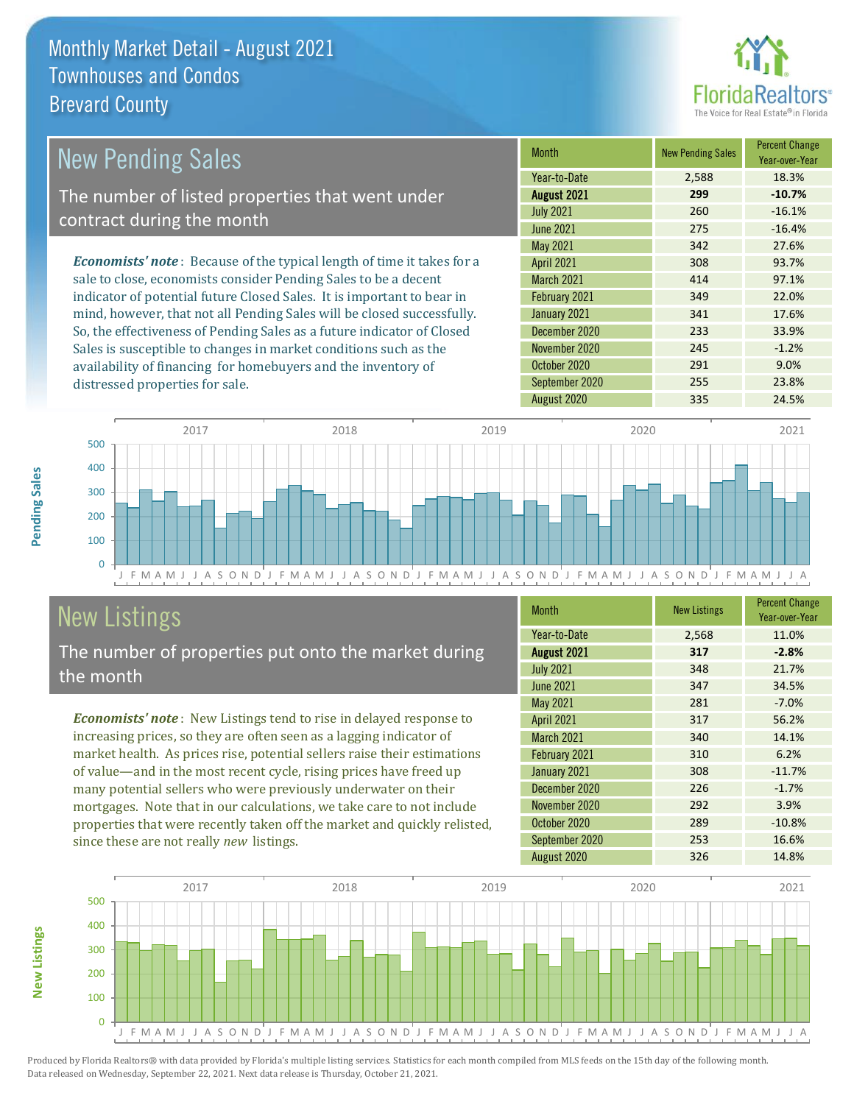

| New Pending Sales                                                              | <b>Month</b>      | <b>New Pending Sales</b> | <b>Percent Change</b><br>Year-over-Year |
|--------------------------------------------------------------------------------|-------------------|--------------------------|-----------------------------------------|
|                                                                                | Year-to-Date      | 2,588                    | 18.3%                                   |
| The number of listed properties that went under                                | August 2021       | 299                      | $-10.7%$                                |
| contract during the month                                                      | <b>July 2021</b>  | 260                      | $-16.1%$                                |
|                                                                                | <b>June 2021</b>  | 275                      | $-16.4%$                                |
|                                                                                | May 2021          | 342                      | 27.6%                                   |
| <b>Economists' note</b> : Because of the typical length of time it takes for a | <b>April 2021</b> | 308                      | 93.7%                                   |
| sale to close, economists consider Pending Sales to be a decent                | <b>March 2021</b> | 414                      | 97.1%                                   |
| indicator of potential future Closed Sales. It is important to bear in         | February 2021     | 349                      | 22.0%                                   |
| mind, however, that not all Pending Sales will be closed successfully.         | January 2021      | 341                      | 17.6%                                   |
| So, the effectiveness of Pending Sales as a future indicator of Closed         | December 2020     | 233                      | 33.9%                                   |
| Sales is susceptible to changes in market conditions such as the               | November 2020     | 245                      | $-1.2%$                                 |
| availability of financing for homebuyers and the inventory of                  | October 2020      | 291                      | 9.0%                                    |



## New Listings

distressed properties for sale.

The number of properties put onto the market during the month

*Economists' note* : New Listings tend to rise in delayed response to increasing prices, so they are often seen as a lagging indicator of market health. As prices rise, potential sellers raise their estimations of value—and in the most recent cycle, rising prices have freed up many potential sellers who were previously underwater on their mortgages. Note that in our calculations, we take care to not include properties that were recently taken off the market and quickly relisted, since these are not really *new* listings.

| <b>Month</b>      | <b>New Listings</b> | <b>Percent Change</b><br>Year-over-Year |
|-------------------|---------------------|-----------------------------------------|
| Year-to-Date      | 2,568               | 11.0%                                   |
| August 2021       | 317                 | $-2.8%$                                 |
| <b>July 2021</b>  | 348                 | 21.7%                                   |
| <b>June 2021</b>  | 347                 | 34.5%                                   |
| <b>May 2021</b>   | 281                 | $-7.0%$                                 |
| <b>April 2021</b> | 317                 | 56.2%                                   |
| <b>March 2021</b> | 340                 | 14.1%                                   |
| February 2021     | 310                 | 6.2%                                    |
| January 2021      | 308                 | $-11.7%$                                |
| December 2020     | 226                 | $-1.7%$                                 |
| November 2020     | 292                 | 3.9%                                    |
| October 2020      | 289                 | $-10.8%$                                |
| September 2020    | 253                 | 16.6%                                   |
| August 2020       | 326                 | 14.8%                                   |

September 2020 255 23.8%



Produced by Florida Realtors® with data provided by Florida's multiple listing services. Statistics for each month compiled from MLS feeds on the 15th day of the following month. Data released on Wednesday, September 22, 2021. Next data release is Thursday, October 21, 2021.

**New Listings**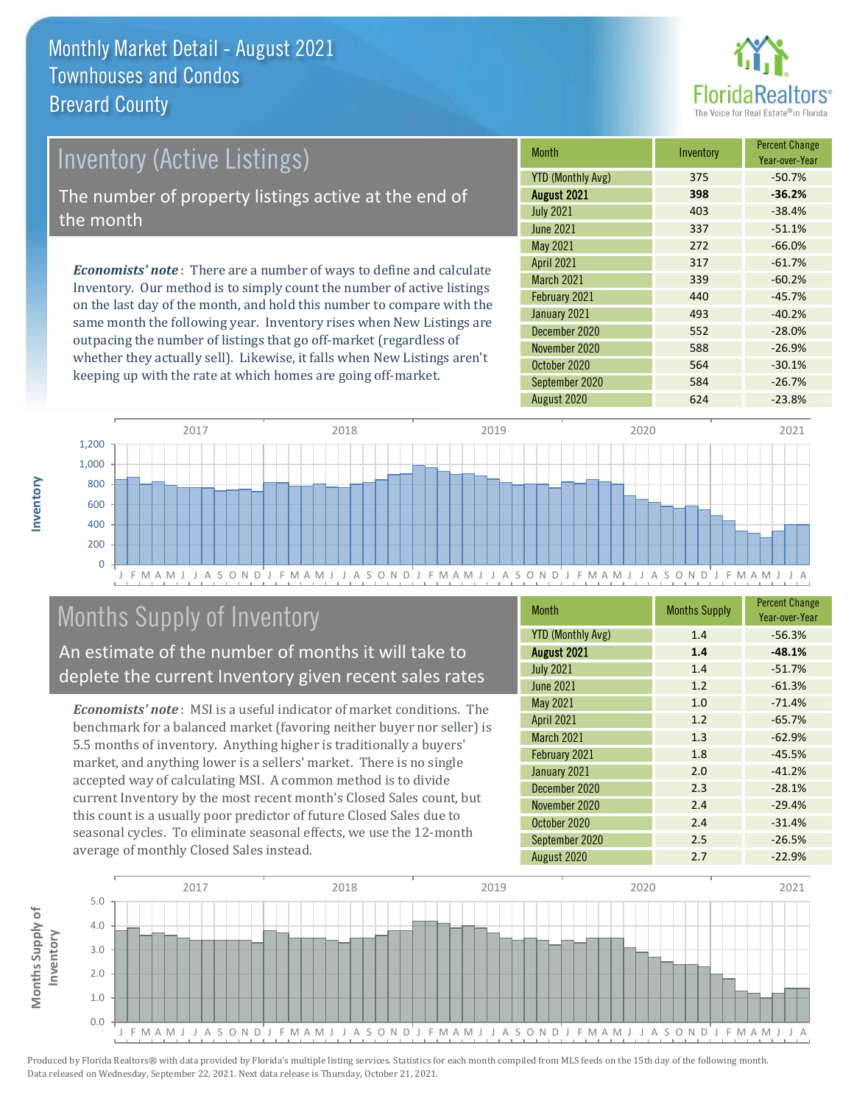

# *Economists' note* : There are a number of ways to define and calculate Inventory (Active Listings) The number of property listings active at the end of the month

Inventory. Our method is to simply count the number of active listings on the last day of the month, and hold this number to compare with the same month the following year. Inventory rises when New Listings are outpacing the number of listings that go off-market (regardless of whether they actually sell). Likewise, it falls when New Listings aren't keeping up with the rate at which homes are going off-market.

| <b>Month</b>             | Inventory | <b>Percent Change</b><br>Year-over-Year |
|--------------------------|-----------|-----------------------------------------|
| <b>YTD (Monthly Avg)</b> | 375       | $-50.7%$                                |
| August 2021              | 398       | $-36.2%$                                |
| <b>July 2021</b>         | 403       | $-38.4%$                                |
| <b>June 2021</b>         | 337       | $-51.1%$                                |
| May 2021                 | 272       | $-66.0%$                                |
| <b>April 2021</b>        | 317       | $-61.7%$                                |
| <b>March 2021</b>        | 339       | $-60.2%$                                |
| February 2021            | 440       | $-45.7%$                                |
| January 2021             | 493       | $-40.2%$                                |
| December 2020            | 552       | $-28.0%$                                |
| November 2020            | 588       | $-26.9%$                                |
| October 2020             | 564       | $-30.1%$                                |
| September 2020           | 584       | $-26.7%$                                |
| August 2020              | 624       | $-23.8%$                                |



### Months Supply of Inventory

An estimate of the number of months it will take to deplete the current Inventory given recent sales rates

*Economists' note* : MSI is a useful indicator of market conditions. The benchmark for a balanced market (favoring neither buyer nor seller) is 5.5 months of inventory. Anything higher is traditionally a buyers' market, and anything lower is a sellers' market. There is no single accepted way of calculating MSI. A common method is to divide current Inventory by the most recent month's Closed Sales count, but this count is a usually poor predictor of future Closed Sales due to seasonal cycles. To eliminate seasonal effects, we use the 12-month average of monthly Closed Sales instead.

| <b>Month</b>             | <b>Months Supply</b> | <b>Percent Change</b><br>Year-over-Year |
|--------------------------|----------------------|-----------------------------------------|
| <b>YTD (Monthly Avg)</b> | 1.4                  | $-56.3%$                                |
| August 2021              | 1.4                  | $-48.1%$                                |
| <b>July 2021</b>         | 1.4                  | $-51.7%$                                |
| <b>June 2021</b>         | 1.2                  | $-61.3%$                                |
| May 2021                 | 1.0                  | $-71.4%$                                |
| <b>April 2021</b>        | 1.2                  | $-65.7%$                                |
| March 2021               | 1.3                  | $-62.9%$                                |
| February 2021            | 1.8                  | $-45.5%$                                |
| January 2021             | 2.0                  | $-41.2%$                                |
| December 2020            | 2.3                  | $-28.1%$                                |
| November 2020            | 2.4                  | $-29.4%$                                |
| October 2020             | 2.4                  | $-31.4%$                                |
| September 2020           | 2.5                  | $-26.5%$                                |
| August 2020              | 2.7                  | $-22.9%$                                |

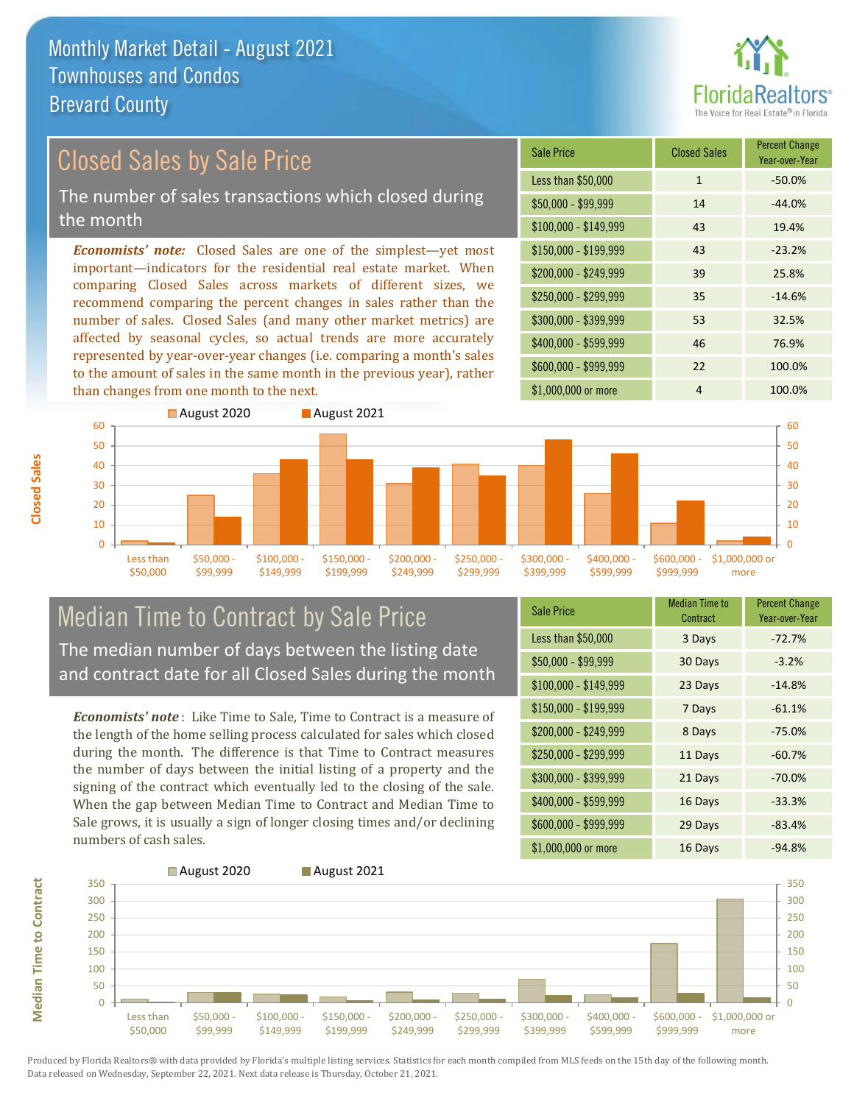

#### *Economists' note:* Closed Sales are one of the simplest—yet most important—indicators for the residential real estate market. When comparing Closed Sales across markets of different sizes, we recommend comparing the percent changes in sales rather than the number of sales. Closed Sales (and many other market metrics) are Sale Price Closed Sales Percent Change Closed Sales by Sale Price The number of sales transactions which closed during the month

affected by seasonal cycles, so actual trends are more accurately represented by year-over-year changes (i.e. comparing a month's sales to the amount of sales in the same month in the previous year), rather than changes from one month to the next.





#### Median Time to Contract by Sale Price The median number of days between the listing date and contract date for all Closed Sales during the month

*Economists' note* : Like Time to Sale, Time to Contract is a measure of the length of the home selling process calculated for sales which closed during the month. The difference is that Time to Contract measures the number of days between the initial listing of a property and the signing of the contract which eventually led to the closing of the sale. When the gap between Median Time to Contract and Median Time to Sale grows, it is usually a sign of longer closing times and/or declining numbers of cash sales.

| <b>Sale Price</b>     | Median Time to<br>Contract | <b>Percent Change</b><br>Year-over-Year |
|-----------------------|----------------------------|-----------------------------------------|
| Less than \$50,000    | 3 Days                     | $-72.7%$                                |
| \$50,000 - \$99,999   | 30 Days                    | $-3.2%$                                 |
| $$100,000 - $149,999$ | 23 Days                    | $-14.8%$                                |
| $$150,000 - $199,999$ | 7 Days                     | $-61.1%$                                |
| \$200,000 - \$249,999 | 8 Days                     | $-75.0%$                                |
| \$250,000 - \$299,999 | 11 Days                    | $-60.7%$                                |
| \$300,000 - \$399,999 | 21 Days                    | $-70.0%$                                |
| $$400,000 - $599,999$ | 16 Days                    | $-33.3%$                                |
| \$600,000 - \$999,999 | 29 Days                    | $-83.4%$                                |
| \$1,000,000 or more   | 16 Days                    | $-94.8%$                                |



Produced by Florida Realtors® with data provided by Florida's multiple listing services. Statistics for each month compiled from MLS feeds on the 15th day of the following month. Data released on Wednesday, September 22, 2021. Next data release is Thursday, October 21, 2021.

**Median Time to Contract**

**Median Time to Contract**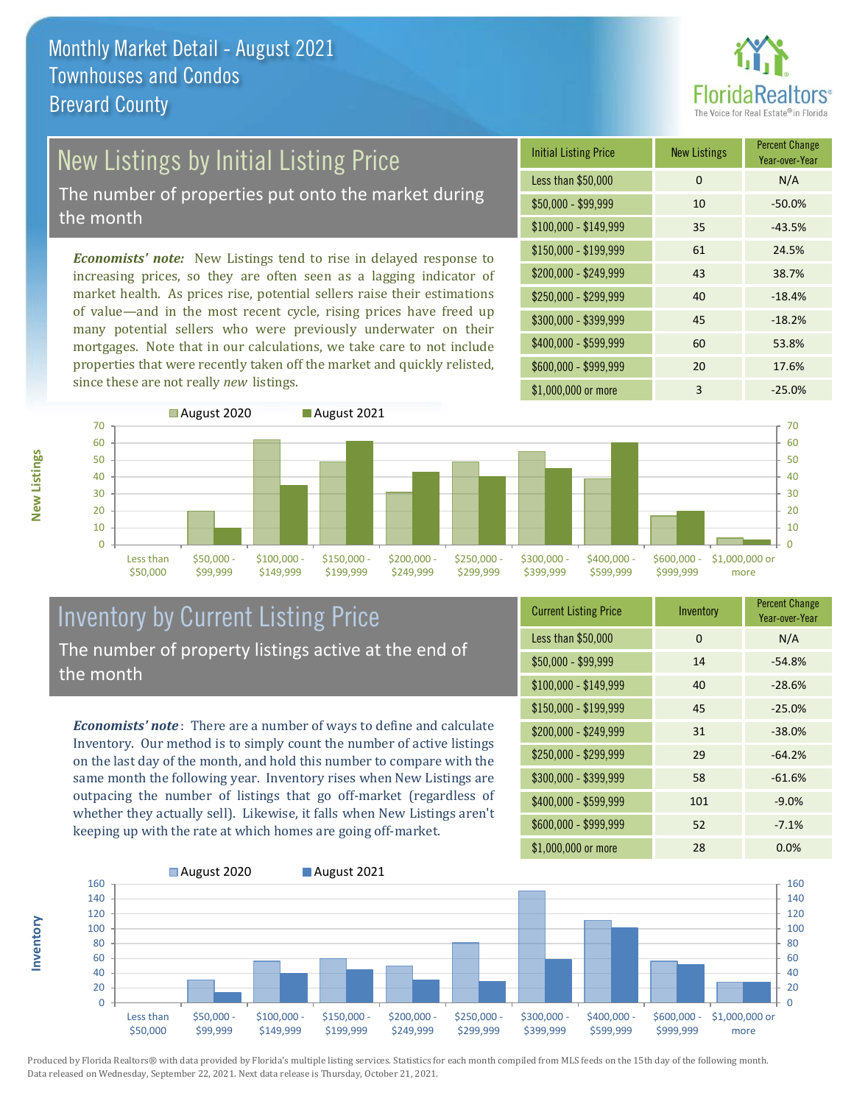

## New Listings by Initial Listing Price

The number of properties put onto the market during the month

*Economists' note:* New Listings tend to rise in delayed response to increasing prices, so they are often seen as a lagging indicator of market health. As prices rise, potential sellers raise their estimations of value—and in the most recent cycle, rising prices have freed up many potential sellers who were previously underwater on their mortgages. Note that in our calculations, we take care to not include properties that were recently taken off the market and quickly relisted, since these are not really *new* listings.





#### Inventory by Current Listing Price The number of property listings active at the end of the month

*Economists' note* : There are a number of ways to define and calculate Inventory. Our method is to simply count the number of active listings on the last day of the month, and hold this number to compare with the same month the following year. Inventory rises when New Listings are outpacing the number of listings that go off-market (regardless of whether they actually sell). Likewise, it falls when New Listings aren't keeping up with the rate at which homes are going off-market.

| <b>Current Listing Price</b> | Inventory | <b>Percent Change</b><br>Year-over-Year |
|------------------------------|-----------|-----------------------------------------|
| Less than \$50,000           | 0         | N/A                                     |
| \$50,000 - \$99,999          | 14        | $-54.8%$                                |
| $$100,000 - $149,999$        | 40        | $-28.6%$                                |
| $$150,000 - $199,999$        | 45        | $-25.0%$                                |
| \$200,000 - \$249,999        | 31        | $-38.0%$                                |
| \$250,000 - \$299,999        | 29        | $-64.2%$                                |
| \$300,000 - \$399,999        | 58        | $-61.6%$                                |
| \$400,000 - \$599,999        | 101       | $-9.0%$                                 |
| \$600,000 - \$999,999        | 52        | $-7.1%$                                 |
| \$1,000,000 or more          | 28        | 0.0%                                    |



Produced by Florida Realtors® with data provided by Florida's multiple listing services. Statistics for each month compiled from MLS feeds on the 15th day of the following month. Data released on Wednesday, September 22, 2021. Next data release is Thursday, October 21, 2021.

**Inventory**